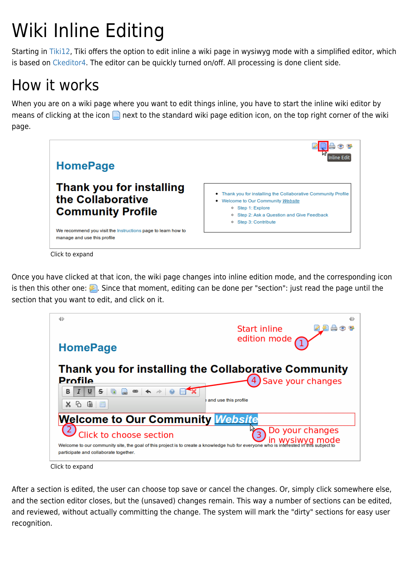# Wiki Inline Editing

Starting in [Tiki12,](https://doc.tiki.org/Tiki12) Tiki offers the option to edit inline a wiki page in wysiwyg mode with a simplified editor, which is based on [Ckeditor4.](http://ckeditor.com/demo) The editor can be quickly turned on/off. All processing is done client side.

# How it works

When you are on a wiki page where you want to edit things inline, you have to start the inline wiki editor by means of clicking at the icon  $\Box$  next to the standard wiki page edition icon, on the top right corner of the wiki page.



Click to expand

Once you have clicked at that icon, the wiki page changes into inline edition mode, and the corresponding icon is then this other one:  $\blacktriangleright$ . Since that moment, editing can be done per "section": just read the page until the section that you want to edit, and click on it.



Click to expand

After a section is edited, the user can choose top save or cancel the changes. Or, simply click somewhere else, and the section editor closes, but the (unsaved) changes remain. This way a number of sections can be edited, and reviewed, without actually committing the change. The system will mark the "dirty" sections for easy user recognition.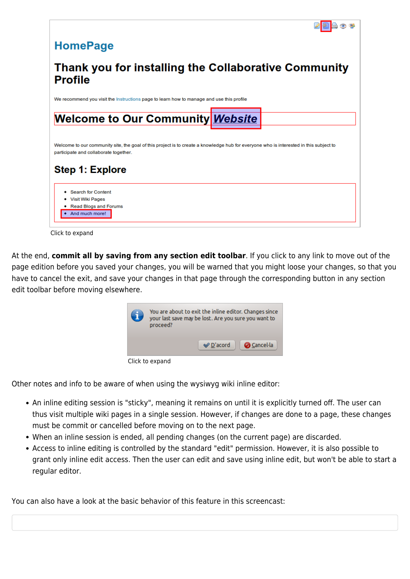

Click to expand

At the end, **commit all by saving from any section edit toolbar**. If you click to any link to move out of the page edition before you saved your changes, you will be warned that you might loose your changes, so that you have to cancel the exit, and save your changes in that page through the corresponding button in any section edit toolbar before moving elsewhere.

| G | You are about to exit the inline editor. Changes since<br>your last save may be lost. Are you sure you want to<br>proceed? | $\mathcal O$ D'acord | <b>O</b> Cancel·la |
|---|----------------------------------------------------------------------------------------------------------------------------|----------------------|--------------------|
|   | Click to expand                                                                                                            |                      |                    |

Other notes and info to be aware of when using the wysiwyg wiki inline editor:

- An inline editing session is "sticky", meaning it remains on until it is explicitly turned off. The user can thus visit multiple wiki pages in a single session. However, if changes are done to a page, these changes must be commit or cancelled before moving on to the next page.
- When an inline session is ended, all pending changes (on the current page) are discarded.
- Access to inline editing is controlled by the standard "edit" permission. However, it is also possible to grant only inline edit access. Then the user can edit and save using inline edit, but won't be able to start a regular editor.

You can also have a look at the basic behavior of this feature in this screencast: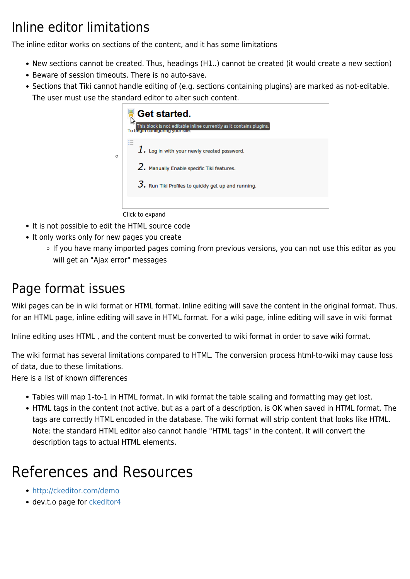### Inline editor limitations

The inline editor works on sections of the content, and it has some limitations

- New sections cannot be created. Thus, headings (H1..) cannot be created (it would create a new section)
- Beware of session timeouts. There is no auto-save.
- Sections that Tiki cannot handle editing of (e.g. sections containing plugins) are marked as not-editable. The user must use the standard editor to alter such content.



Click to expand

- It is not possible to edit the HTML source code
- It only works only for new pages you create
	- **If you have many imported pages coming from previous versions, you can not use this editor as you** will get an "Ajax error" messages

#### Page format issues

Wiki pages can be in wiki format or HTML format. Inline editing will save the content in the original format. Thus, for an HTML page, inline editing will save in HTML format. For a wiki page, inline editing will save in wiki format

Inline editing uses HTML , and the content must be converted to wiki format in order to save wiki format.

The wiki format has several limitations compared to HTML. The conversion process html-to-wiki may cause loss of data, due to these limitations.

Here is a list of known differences

- Tables will map 1-to-1 in HTML format. In wiki format the table scaling and formatting may get lost.
- HTML tags in the content (not active, but as a part of a description, is OK when saved in HTML format. The tags are correctly HTML encoded in the database. The wiki format will strip content that looks like HTML. Note: the standard HTML editor also cannot handle "HTML tags" in the content. It will convert the description tags to actual HTML elements.

# References and Resources

- <http://ckeditor.com/demo>
- dev.t.o page for [ckeditor4](http://dev.tiki.org/ckeditor4)